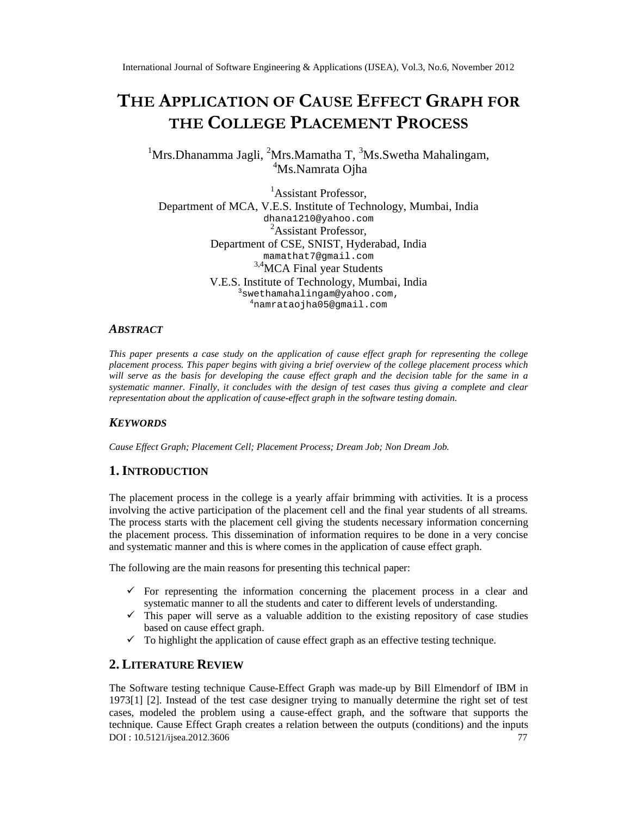# THE APPLICATION COUFS EFFEC GRAPH FOR THECOLLEGE ACEMENT PROCESS

# <sup>1</sup>Mrs.Dhanamma JaglfMrs.Mamatha T,<sup>3</sup>Ms.Swetha Mahalingam, <sup>4</sup>Ms.Namrata Oiha

<sup>1</sup>Assistant Professor, Departmentof MCA, V.E.S. Institute of Technolog Mumbai, India [dhana1210@yahoo.com](mailto:dhana1210@yahoo.com) <sup>2</sup>Assistant Professor, Departmentof CSE, SNIST, HyderabadIndia [mamathat7@gmail.com](mailto:mamathat7@gmail.com) 3,4MCA Final year Students V.E.S. Institute of Technology, Mumbai, India <sup>3</sup>[swethamahalingam@yahoo.com](mailto:3swethamahalingam@yahoo.com) , <sup>4</sup>[namrataojha05@gmail.com](mailto:4namrataojha05@gmail.com)

## **ABSTRACT**

This paper presents a case study on the application of cause effect graph for representing the college placement process. This paper begins with giving a brief overview of the college placement process which will serve as the basis for developing the cause effect graph and the decision table for the same in a systematic manner. Finally, it concludes with the design of test cases thus anivomplete and clear representationabout the application of causeffect graph in the software testing domain

## **KEYWORDS**

Cause Effect Graph; Placement Cell; Placement Process; Dream Job; Non Dream Job.

## 1.I NTRODUCTION

The placement process in the lege is a yearly affair brimming with activities. It is a process involving the active participation of the placement cell and the final year students of all streams. The process starts with the placement cell giving the students necessary informationing onc the placement process. This dissemination of information requires to be done in a very concise and systematic manner and this is where comes in the application of cause effect graph.

The following are the main reasons for presenting this technical.

- ðü For representing the information concerning the placement process in a clear and systematic manner to all the students and cater to different levels of understanding.
- $\ddot{\text{o}}$   $\ddot{\text{o}}$  This paper will serve as a valuable addition to the existing repository of tradiess based on cause effect graph.
- ðü To highlight the application of cause effect graph as an effective testing technique.

## 2.LITERATURE REVIEW

DOI : 10.5121/ijsea.2012.360 77 The Software testing technique ause Effect Graphwas madeup by Bill Elmendorf of IBM in 19731] [2]. Instead of the test case designer trying to manually determine the right set of test cases, modeled the problem using a centitient graph, and the software that supports the technique.Cause EffecGraphcreatesa relation between theutputs (conditionsand the inputs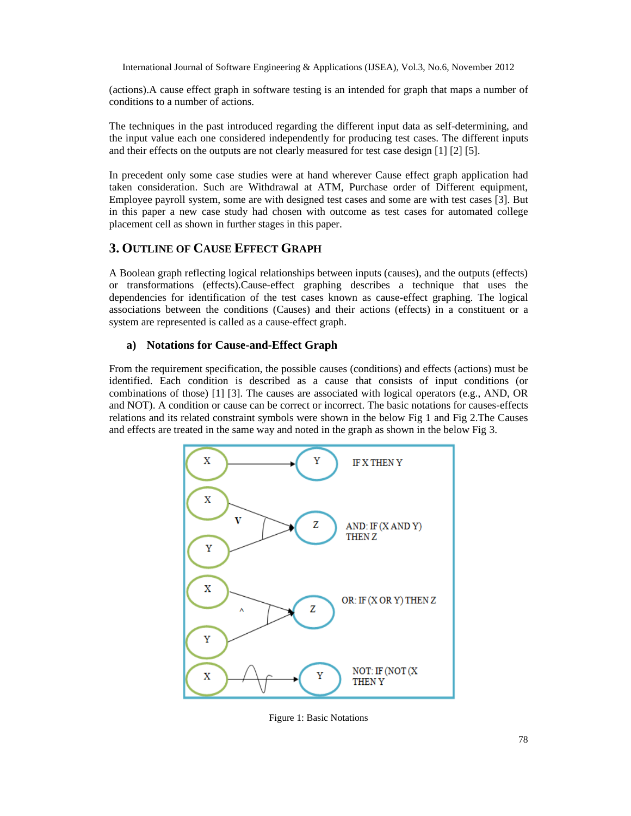(actions).A cause effect graph in software testing is an intended for graph that maps a number of conditions to a number of actions.

The techniques in the past introduced regarding the different input data as self-determining, and the input value each one considered independently for producing test cases. The different inputs and their effects on the outputs are not clearly measured for test case design [1] [2] [5].

In precedent only some case studies were at hand wherever Cause effect graph application had taken consideration. Such are Withdrawal at ATM, Purchase order of Different equipment, Employee payroll system, some are with designed test cases and some are with test cases [3]. But in this paper a new case study had chosen with outcome as test cases for automated college placement cell as shown in further stages in this paper.

## **3. OUTLINE OF CAUSE EFFECT GRAPH**

A Boolean graph reflecting logical relationships between inputs (causes), and the outputs (effects) or transformations (effects).Cause-effect graphing describes a technique that uses the dependencies for identification of the test cases known as cause-effect graphing. The logical associations between the conditions (Causes) and their actions (effects) in a constituent or a system are represented is called as a cause-effect graph.

#### **a) Notations for Cause-and-Effect Graph**

From the requirement specification, the possible causes (conditions) and effects (actions) must be identified. Each condition is described as a cause that consists of input conditions (or combinations of those) [1] [3]. The causes are associated with logical operators (e.g., AND, OR and NOT). A condition or cause can be correct or incorrect. The basic notations for causes-effects relations and its related constraint symbols were shown in the below Fig 1 and Fig 2.The Causes and effects are treated in the same way and noted in the graph as shown in the below Fig 3.



Figure 1: Basic Notations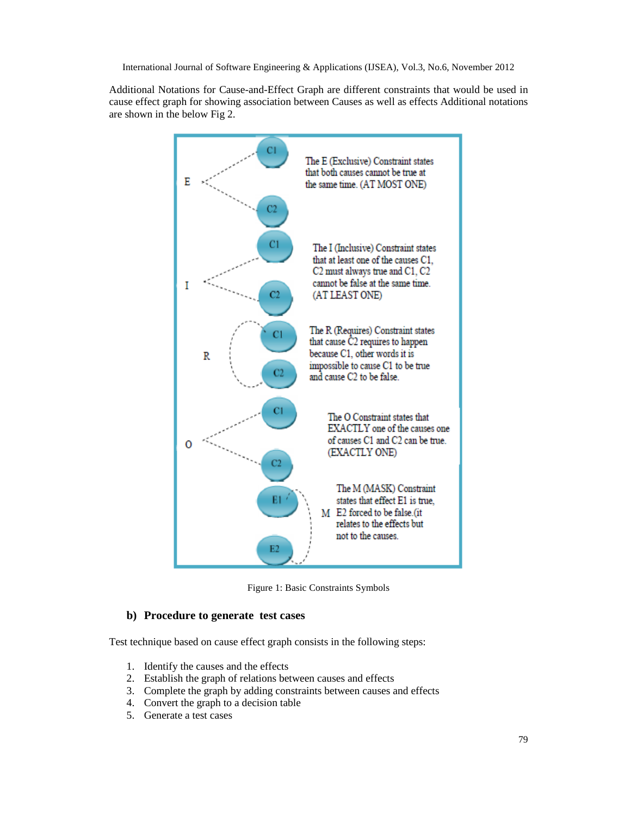Additional Notations for Cause-and-Effect Graph are different constraints that would be used in cause effect graph for showing association between Causes as well as effects Additional notations are shown in the below Fig 2.



Figure 1: Basic Constraints Symbols

#### **b) Procedure to generate test cases**

Test technique based on cause effect graph consists in the following steps:

- 1. Identify the causes and the effects
- 2. Establish the graph of relations between causes and effects
- 3. Complete the graph by adding constraints between causes and effects
- 4. Convert the graph to a decision table
- 5. Generate a test cases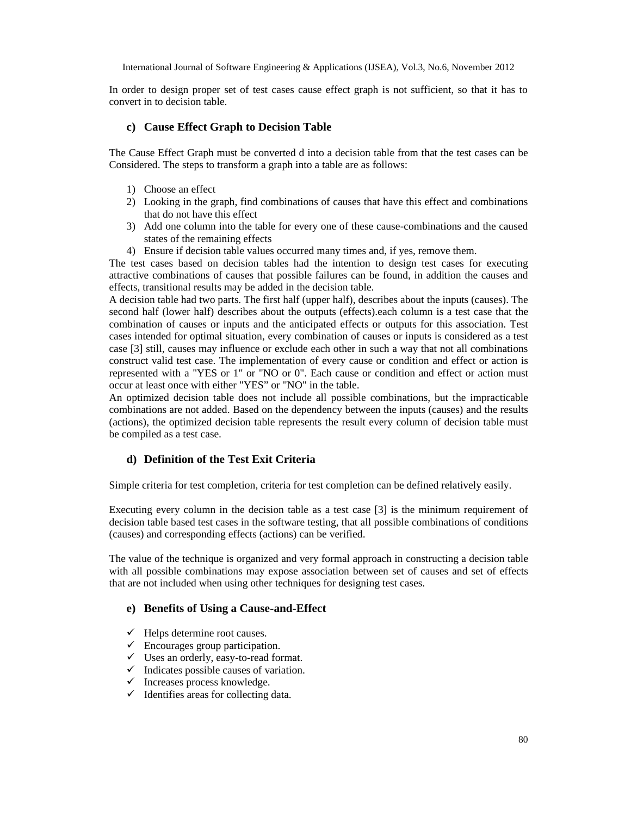In order to design proper set of test cases cause effect graph is not sufficient, so that it has to convert in to decision table.

#### **c) Cause Effect Graph to Decision Table**

The Cause Effect Graph must be converted d into a decision table from that the test cases can be Considered. The steps to transform a graph into a table are as follows:

- 1) Choose an effect
- 2) Looking in the graph, find combinations of causes that have this effect and combinations that do not have this effect
- 3) Add one column into the table for every one of these cause-combinations and the caused states of the remaining effects
- 4) Ensure if decision table values occurred many times and, if yes, remove them.

The test cases based on decision tables had the intention to design test cases for executing attractive combinations of causes that possible failures can be found, in addition the causes and effects, transitional results may be added in the decision table.

A decision table had two parts. The first half (upper half), describes about the inputs (causes). The second half (lower half) describes about the outputs (effects).each column is a test case that the combination of causes or inputs and the anticipated effects or outputs for this association. Test cases intended for optimal situation, every combination of causes or inputs is considered as a test case [3] still, causes may influence or exclude each other in such a way that not all combinations construct valid test case. The implementation of every cause or condition and effect or action is represented with a "YES or 1" or "NO or 0". Each cause or condition and effect or action must occur at least once with either "YES" or "NO" in the table.

An optimized decision table does not include all possible combinations, but the impracticable combinations are not added. Based on the dependency between the inputs (causes) and the results (actions), the optimized decision table represents the result every column of decision table must be compiled as a test case.

#### **d) Definition of the Test Exit Criteria**

Simple criteria for test completion, criteria for test completion can be defined relatively easily.

Executing every column in the decision table as a test case [3] is the minimum requirement of decision table based test cases in the software testing, that all possible combinations of conditions (causes) and corresponding effects (actions) can be verified.

The value of the technique is organized and very formal approach in constructing a decision table with all possible combinations may expose association between set of causes and set of effects that are not included when using other techniques for designing test cases.

#### **e) Benefits of Using a Cause-and-Effect**

- $\checkmark$  Helps determine root causes.
- $\checkmark$  Encourages group participation.
- $\checkmark$  Uses an orderly, easy-to-read format.
- $\checkmark$  Indicates possible causes of variation.
- $\checkmark$  Increases process knowledge.
- $\checkmark$  Identifies areas for collecting data.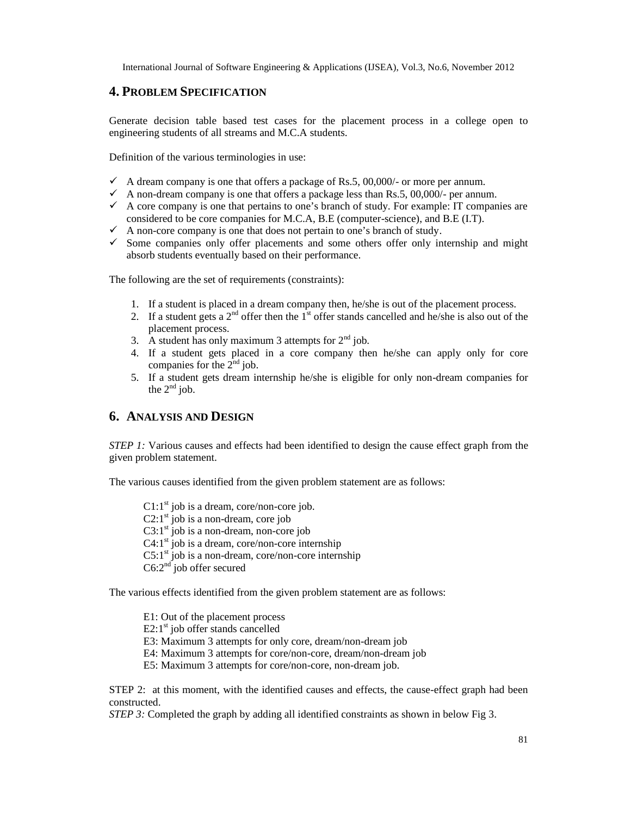## **4. PROBLEM SPECIFICATION**

Generate decision table based test cases for the placement process in a college open to engineering students of all streams and M.C.A students.

Definition of the various terminologies in use:

- $\checkmark$  A dream company is one that offers a package of Rs.5, 00,000/- or more per annum.
- A non-dream company is one that offers a package less than Rs.5, 00,000/- per annum.
- $\checkmark$  A core company is one that pertains to one's branch of study. For example: IT companies are considered to be core companies for M.C.A, B.E (computer-science), and B.E (I.T).
- $\checkmark$  A non-core company is one that does not pertain to one's branch of study.
- $\checkmark$  Some companies only offer placements and some others offer only internship and might absorb students eventually based on their performance.

The following are the set of requirements (constraints):

- 1. If a student is placed in a dream company then, he/she is out of the placement process.
- 2. If a student gets a  $2<sup>nd</sup>$  offer then the 1<sup>st</sup> offer stands cancelled and he/she is also out of the placement process.
- 3. A student has only maximum 3 attempts for  $2<sup>nd</sup>$  job.
- 4. If a student gets placed in a core company then he/she can apply only for core companies for the  $2<sup>nd</sup>$  job.
- 5. If a student gets dream internship he/she is eligible for only non-dream companies for the  $2<sup>nd</sup>$  job.

## **6. ANALYSIS AND DESIGN**

*STEP 1:* Various causes and effects had been identified to design the cause effect graph from the given problem statement.

The various causes identified from the given problem statement are as follows:

 $C1:1^{st}$  job is a dream, core/non-core job.  $C2:1^{st}$  job is a non-dream, core job  $C3:1<sup>st</sup>$  job is a non-dream, non-core job  $C4:1<sup>st</sup>$  job is a dream, core/non-core internship  $C5:1<sup>st</sup>$  job is a non-dream, core/non-core internship  $C6:2<sup>nd</sup>$  job offer secured

The various effects identified from the given problem statement are as follows:

E1: Out of the placement process  $E2:1<sup>st</sup>$  job offer stands cancelled E3: Maximum 3 attempts for only core, dream/non-dream job E4: Maximum 3 attempts for core/non-core, dream/non-dream job E5: Maximum 3 attempts for core/non-core, non-dream job.

STEP 2: at this moment, with the identified causes and effects, the cause-effect graph had been constructed.

*STEP 3:* Completed the graph by adding all identified constraints as shown in below Fig 3.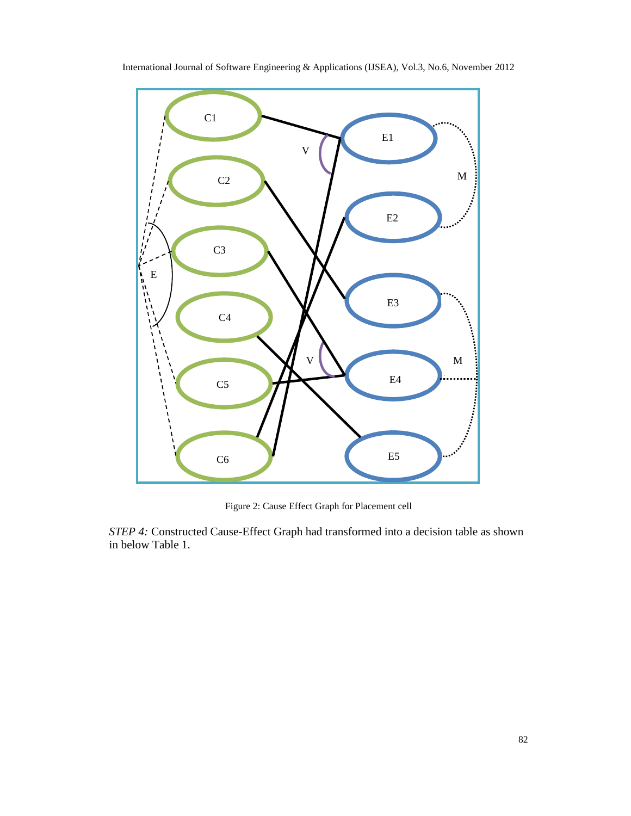

International Journal of Software Engineering & Applications (IJSEA), Vol.3, No.6, November 2012

Figure 2: Cause Effect Graph for Placement cell

*STEP 4:* Constructed Cause-Effect Graph had transformed into a decision table as shown in below Table 1.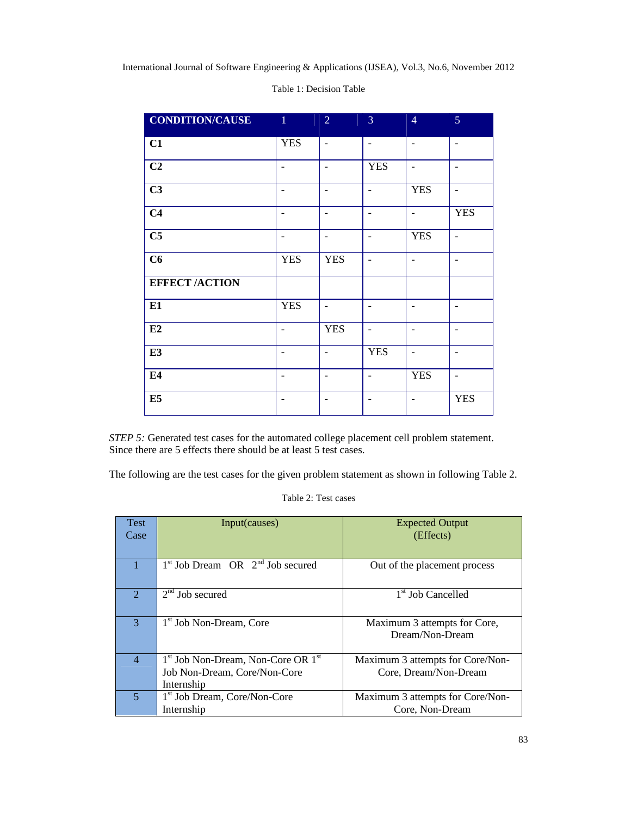| <b>CONDITION/CAUSE</b> | $\parallel$ 1            | $\overline{2}$           | 3                        | $\overline{4}$           | 5                        |
|------------------------|--------------------------|--------------------------|--------------------------|--------------------------|--------------------------|
| C1                     | <b>YES</b>               | $\overline{\phantom{a}}$ | $\overline{\phantom{a}}$ | $\overline{\phantom{0}}$ | $\overline{\phantom{a}}$ |
| C2                     | $\overline{\phantom{0}}$ |                          | <b>YES</b>               | ۰                        | $\overline{\phantom{0}}$ |
| C3                     | ٠                        |                          | $\overline{\phantom{a}}$ | <b>YES</b>               | $\blacksquare$           |
| C <sub>4</sub>         | $\overline{a}$           | $\overline{\phantom{a}}$ | $\overline{\phantom{0}}$ | $\overline{\phantom{a}}$ | <b>YES</b>               |
| C <sub>5</sub>         | $\overline{\phantom{a}}$ | $\overline{\phantom{a}}$ | $\overline{\phantom{a}}$ | <b>YES</b>               | $\blacksquare$           |
| C6                     | <b>YES</b>               | <b>YES</b>               | $\overline{\phantom{a}}$ | $\overline{\phantom{0}}$ | $\overline{\phantom{a}}$ |
| <b>EFFECT /ACTION</b>  |                          |                          |                          |                          |                          |
| E1                     | <b>YES</b>               | $\blacksquare$           | $\overline{a}$           |                          | $\overline{\phantom{a}}$ |
| E2                     | $\overline{\phantom{a}}$ | <b>YES</b>               | $\overline{\phantom{a}}$ | -                        | $\overline{\phantom{a}}$ |
| E3                     | $\overline{a}$           |                          | <b>YES</b>               | -                        | $\overline{\phantom{0}}$ |
| E4                     | $\overline{\phantom{0}}$ |                          |                          | <b>YES</b>               | $\overline{\phantom{0}}$ |
| E5                     |                          |                          |                          |                          | <b>YES</b>               |

#### Table 1: Decision Table

*STEP 5:* Generated test cases for the automated college placement cell problem statement. Since there are 5 effects there should be at least 5 test cases.

The following are the test cases for the given problem statement as shown in following Table 2.

#### Table 2: Test cases

| Test<br>Case                | Input(causes)                                              | <b>Expected Output</b><br>(Effects)             |
|-----------------------------|------------------------------------------------------------|-------------------------------------------------|
|                             |                                                            |                                                 |
|                             | $1st$ Job Dream OR $2nd$ Job secured                       | Out of the placement process                    |
| $\mathcal{D}_{\mathcal{L}}$ | $2nd$ Job secured                                          | 1 <sup>st</sup> Job Cancelled                   |
| 3                           | 1 <sup>st</sup> Job Non-Dream, Core                        | Maximum 3 attempts for Core,<br>Dream/Non-Dream |
| $\overline{4}$              | 1 <sup>st</sup> Job Non-Dream, Non-Core OR 1 <sup>st</sup> | Maximum 3 attempts for Core/Non-                |
|                             | Job Non-Dream, Core/Non-Core                               | Core, Dream/Non-Dream                           |
|                             | Internship                                                 |                                                 |
| 5                           | 1 <sup>st</sup> Job Dream, Core/Non-Core                   | Maximum 3 attempts for Core/Non-                |
|                             | Internship                                                 | Core, Non-Dream                                 |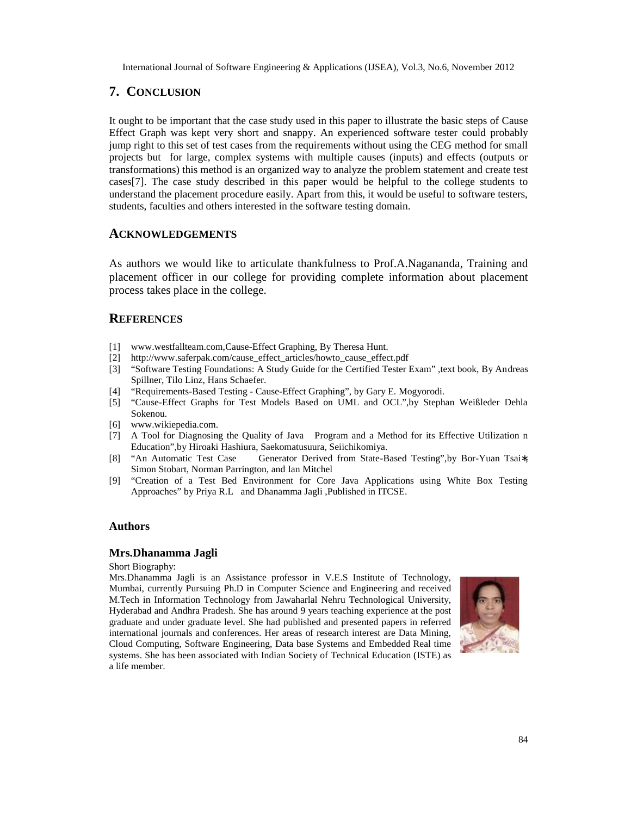## 7. CONCLUSION

It ought tobe important that the case study used in this paper to illustrate the basic steps of C Effect Graphwas kept veryshort and snappyAn experienced software tester could probably jump right to this set of test cases from the requirements without using the CEG method for small projects but for large, complex systems with multiple causes (inputs) and effects (outputs or transformations) this method is an organized way to analyze the problement and create test  $caseE$ ]. The case study described in this paper would be helpful to the college students to understand the placement procedure easily. Apart from this, it would be useful to software testers, students, faculties and others in the software testing domain.

## ACKNOWLEDGEMENTS

As authorswe would like toarticulate thankfulness to ProtaNagananda, Training and placement officer in our college for providing complete information at placement process takes place in the lege.

## **REFERENCES**

- [1] <www.westfallteam.com>, Causeffect Graphing, By Theresa Hunt.
- [2] [http://www.saferpak.com/cause\\_effect\\_articles/howto\\_cause\\_effe](http://www.saferpak.com/cause_effect_articles/howto_cause_effect.pdf)ct.pdf
- [3] Software Testing Foundations: A Study Guide for the Certified Tester Exam€ ,text book, Bayannel Spillner, Tilo Linz, Hans Schaefer.
- [4] , RequirementsBased Testing CauseEffect Graphing€, by Gary E. Mogyorodi.
- [5] 'Cause-Effect Graphs for Test Models Based on UML and OCL€,by Stephan Weiƒleder Dehla Sokenou.
- [6] <www.wikiepedia.com>.
- [7] A Tool for Diagnosing the Quality of Java Program and a Method for its Effective Utilization n
- Education€,by Hiroaki Hashiura, Saekomatusuura, Seiichikomiya.<br>[8] ,An Automatic Test Case Generator Derived from SBated Generator Derived from SBased Testing€,by Boruan Tsa€ Simon Stobart, Norman Parrington, and Ian Mitchel
- [9] 'Creation of a Test Bed Environment for Core Java Applications using White Box Testing Approaches€ by Priya R.L and Dhanamma Jagli ,Published in ITCSE.

## Authors

## Mrs.Dhanamma Jagli

Short Biography:

Mrs.Dhanamma Jagli is an Assistance professor in V.E.S Institute of Technology, Mumbai, currently Pursuing Ph.D in Computer Science and Engineering and received M.Tech in Information Technology from Jawaharlal Nehru Technological University, Hyderabad and Andhra Pradesh. She has around 9 years teaching experience at the post graduate and under graduate level. She had published and presented papers in referred international journals and conferences. Her areas of research interest are Data Mining, Cloud Computing, Software Engineering, Data base Systems and Embedded Real time systems. She has been associated with Indian Society of Technical Education (ISTE) as a life member.